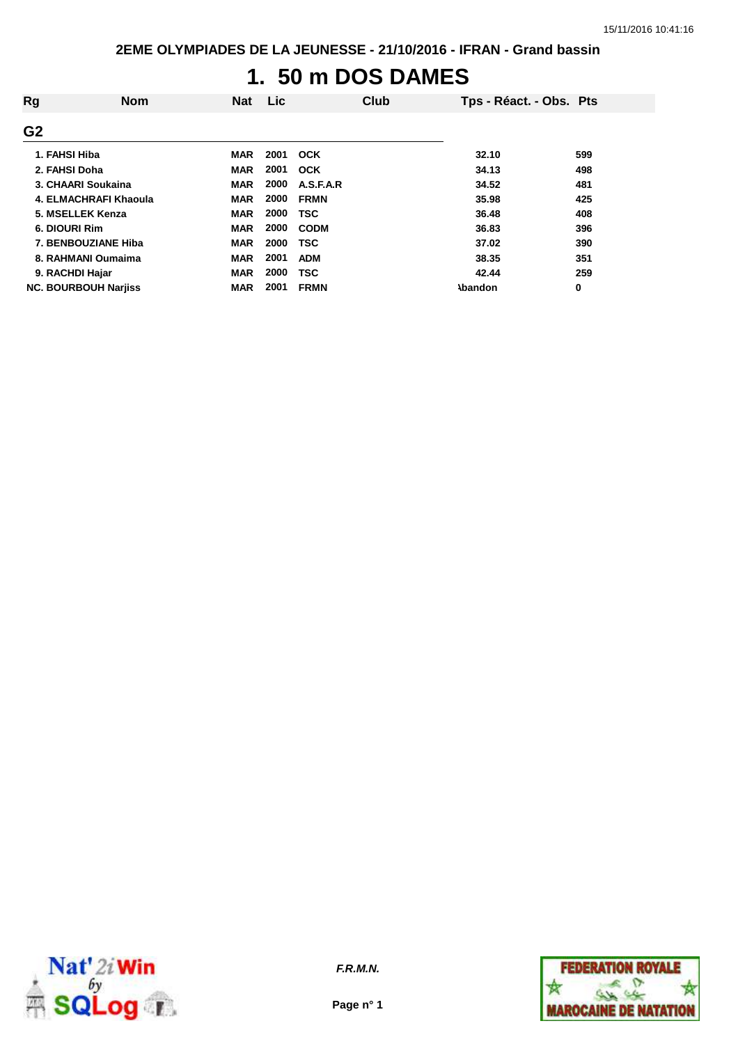# **1. 50 m DOS DAMES**

| Rg              | <b>Nom</b>                  | <b>Nat</b> | Lic  | Club        | Tps - Réact. - Obs. Pts |     |
|-----------------|-----------------------------|------------|------|-------------|-------------------------|-----|
| G <sub>2</sub>  |                             |            |      |             |                         |     |
| 1. FAHSI Hiba   |                             | <b>MAR</b> | 2001 | OCK         | 32.10                   | 599 |
| 2. FAHSI Doha   |                             | <b>MAR</b> | 2001 | <b>OCK</b>  | 34.13                   | 498 |
|                 | 3. CHAARI Soukaina          | <b>MAR</b> | 2000 | A.S.F.A.R   | 34.52                   | 481 |
|                 | 4. ELMACHRAFI Khaoula       | <b>MAR</b> | 2000 | <b>FRMN</b> | 35.98                   | 425 |
|                 | 5. MSELLEK Kenza            | <b>MAR</b> | 2000 | <b>TSC</b>  | 36.48                   | 408 |
| 6. DIOURI Rim   |                             | <b>MAR</b> | 2000 | <b>CODM</b> | 36.83                   | 396 |
|                 | 7. BENBOUZIANE Hiba         | <b>MAR</b> | 2000 | <b>TSC</b>  | 37.02                   | 390 |
|                 | 8. RAHMANI Oumaima          | <b>MAR</b> | 2001 | <b>ADM</b>  | 38.35                   | 351 |
| 9. RACHDI Hajar |                             | <b>MAR</b> | 2000 | <b>TSC</b>  | 42.44                   | 259 |
|                 | <b>NC. BOURBOUH Narjiss</b> | <b>MAR</b> | 2001 | <b>FRMN</b> | <b>Abandon</b>          | 0   |



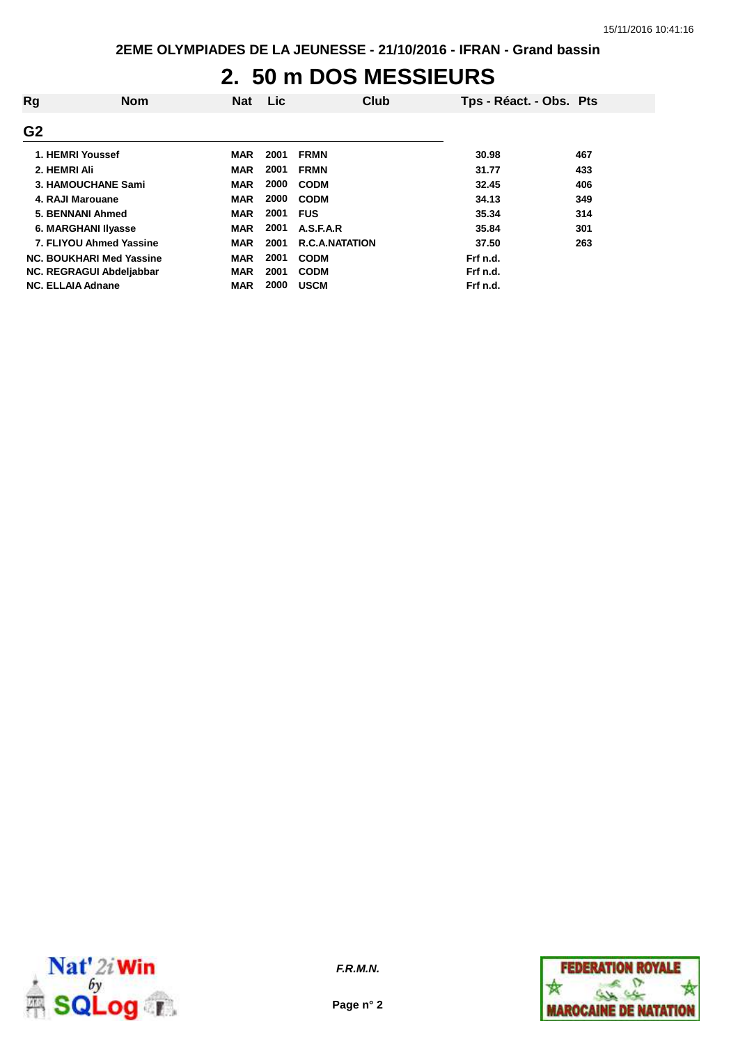#### **2. 50 m DOS MESSIEURS**

| Rg             | <b>Nom</b>                 | <b>Nat</b> | <b>Lic</b> | Club                  | Tps - Réact. - Obs. Pts |     |
|----------------|----------------------------|------------|------------|-----------------------|-------------------------|-----|
| G <sub>2</sub> |                            |            |            |                       |                         |     |
|                | 1. HEMRI Youssef           | <b>MAR</b> | 2001       | <b>FRMN</b>           | 30.98                   | 467 |
|                | 2. HEMRI Ali               | <b>MAR</b> | 2001       | <b>FRMN</b>           | 31.77                   | 433 |
|                | 3. HAMOUCHANE Sami         | <b>MAR</b> | 2000       | <b>CODM</b>           | 32.45                   | 406 |
|                | 4. RAJI Marouane           | <b>MAR</b> | 2000       | <b>CODM</b>           | 34.13                   | 349 |
|                | 5. BENNANI Ahmed           | <b>MAR</b> | 2001       | <b>FUS</b>            | 35.34                   | 314 |
|                | <b>6. MARGHANI IIvasse</b> | <b>MAR</b> | 2001       | A.S.F.A.R             | 35.84                   | 301 |
|                | 7. FLIYOU Ahmed Yassine    | MAR        | 2001       | <b>R.C.A.NATATION</b> | 37.50                   | 263 |
|                | NC. BOUKHARI Med Yassine   | <b>MAR</b> | 2001       | <b>CODM</b>           | Frf n.d.                |     |
|                | NC. REGRAGUI Abdeljabbar   | <b>MAR</b> | 2001       | <b>CODM</b>           | Frf n.d.                |     |
|                | <b>NC. ELLAIA Adnane</b>   | <b>MAR</b> | 2000       | <b>USCM</b>           | Frf n.d.                |     |



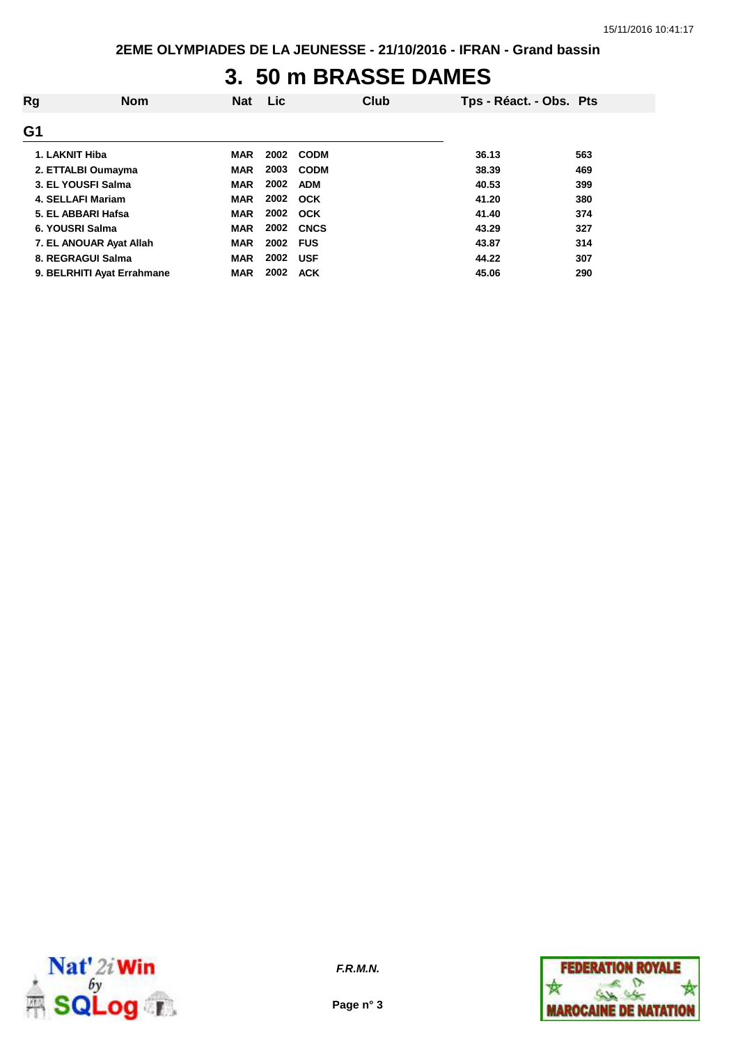### **3. 50 m BRASSE DAMES**

| Rg             | <b>Nom</b>                 | <b>Nat</b> | <b>Lic</b> | Club        | Tps - Réact. - Obs. Pts |     |
|----------------|----------------------------|------------|------------|-------------|-------------------------|-----|
| G <sub>1</sub> |                            |            |            |             |                         |     |
|                | 1. LAKNIT Hiba             | <b>MAR</b> | 2002       | <b>CODM</b> | 36.13                   | 563 |
|                | 2. ETTALBI Oumayma         | <b>MAR</b> | 2003       | <b>CODM</b> | 38.39                   | 469 |
|                | 3. EL YOUSFI Salma         | <b>MAR</b> | 2002       | <b>ADM</b>  | 40.53                   | 399 |
|                | 4. SELLAFI Mariam          | <b>MAR</b> |            | 2002 OCK    | 41.20                   | 380 |
|                | 5. EL ABBARI Hafsa         | <b>MAR</b> |            | 2002 OCK    | 41.40                   | 374 |
|                | 6. YOUSRI Salma            | <b>MAR</b> | 2002       | <b>CNCS</b> | 43.29                   | 327 |
|                | 7. EL ANOUAR Ayat Allah    | <b>MAR</b> | 2002 FUS   |             | 43.87                   | 314 |
|                | 8. REGRAGUI Salma          | <b>MAR</b> | 2002       | <b>USF</b>  | 44.22                   | 307 |
|                | 9. BELRHITI Ayat Errahmane | <b>MAR</b> | 2002       | <b>ACK</b>  | 45.06                   | 290 |



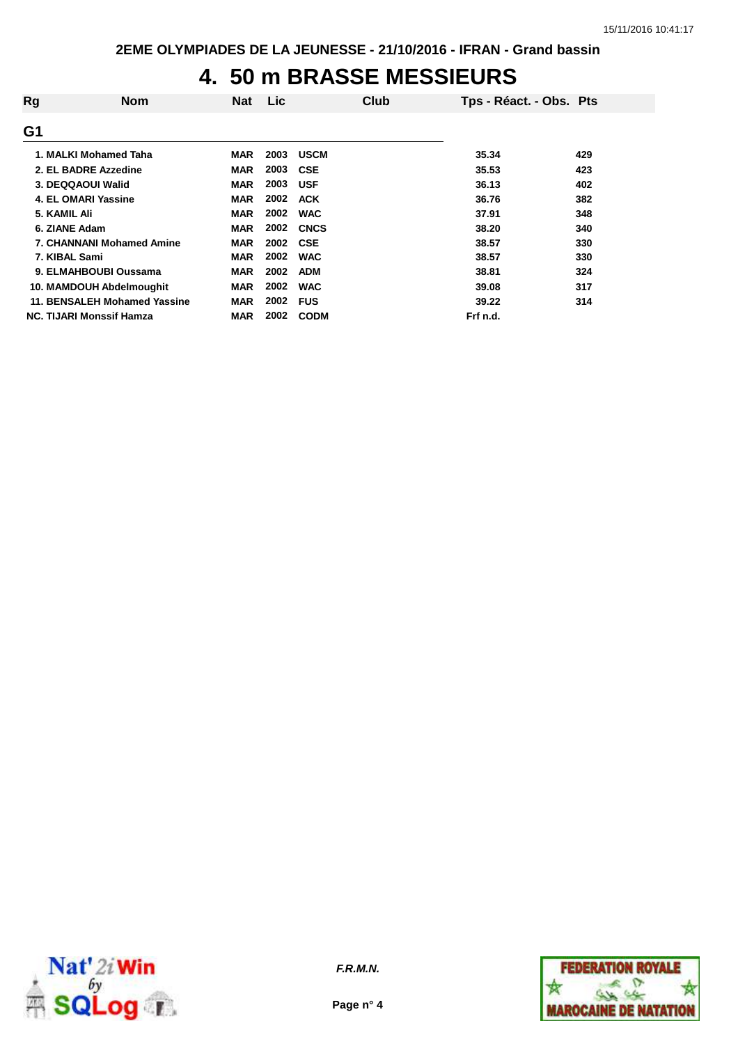### **4. 50 m BRASSE MESSIEURS**

| Rg            | <b>Nom</b>                       | <b>Nat</b> | Lic  | Club        | Tps - Réact. - Obs. Pts |     |
|---------------|----------------------------------|------------|------|-------------|-------------------------|-----|
| G1            |                                  |            |      |             |                         |     |
|               | 1. MALKI Mohamed Taha            | <b>MAR</b> | 2003 | <b>USCM</b> | 35.34                   | 429 |
|               | 2. EL BADRE Azzedine             | <b>MAR</b> | 2003 | <b>CSE</b>  | 35.53                   | 423 |
|               | 3. DEQQAOUI Walid                | <b>MAR</b> | 2003 | <b>USF</b>  | 36.13                   | 402 |
|               | 4. EL OMARI Yassine              | <b>MAR</b> | 2002 | <b>ACK</b>  | 36.76                   | 382 |
| 5. KAMIL Ali  |                                  | <b>MAR</b> | 2002 | <b>WAC</b>  | 37.91                   | 348 |
| 6. ZIANE Adam |                                  | <b>MAR</b> | 2002 | <b>CNCS</b> | 38.20                   | 340 |
|               | <b>7. CHANNANI Mohamed Amine</b> | <b>MAR</b> | 2002 | <b>CSE</b>  | 38.57                   | 330 |
| 7. KIBAL Sami |                                  | <b>MAR</b> | 2002 | <b>WAC</b>  | 38.57                   | 330 |
|               | 9. ELMAHBOUBI Oussama            | <b>MAR</b> | 2002 | <b>ADM</b>  | 38.81                   | 324 |
|               | 10. MAMDOUH Abdelmoughit         | <b>MAR</b> | 2002 | <b>WAC</b>  | 39.08                   | 317 |
|               | 11. BENSALEH Mohamed Yassine     | <b>MAR</b> | 2002 | <b>FUS</b>  | 39.22                   | 314 |
|               | <b>NC. TIJARI Monssif Hamza</b>  | MAR        | 2002 | <b>CODM</b> | Frf n.d.                |     |



**Page n° 4**

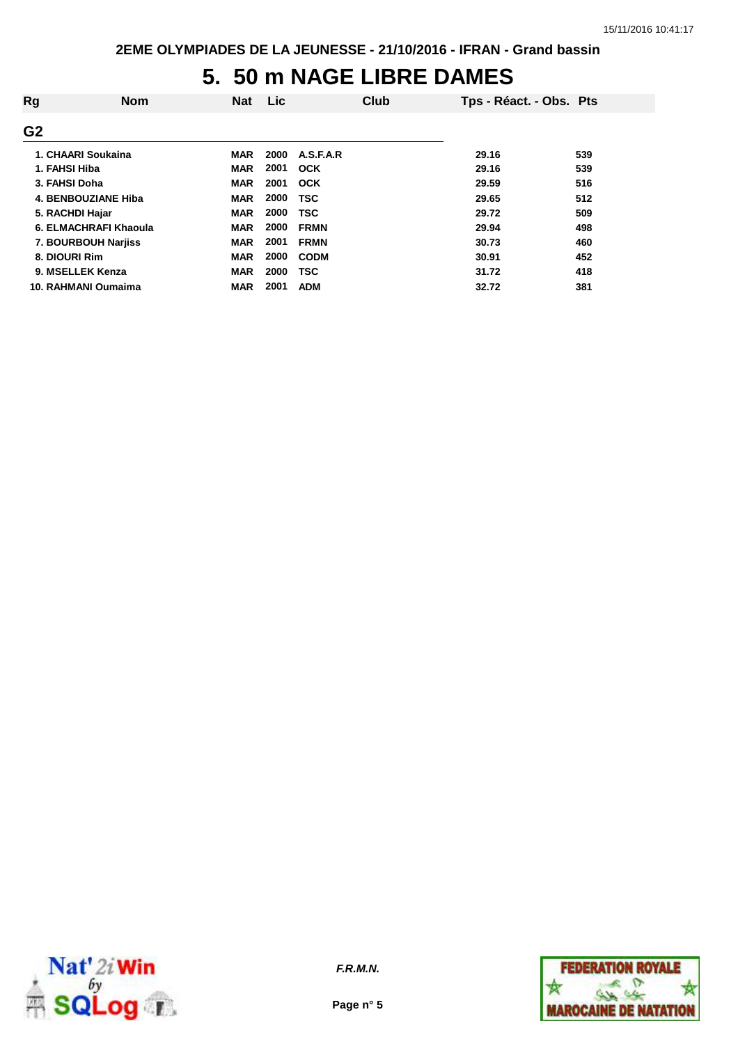#### **5. 50 m NAGE LIBRE DAMES**

| Rg              | <b>Nom</b>            | <b>Nat</b> | <b>Lic</b> | Club        | Tps - Réact. - Obs. Pts |     |
|-----------------|-----------------------|------------|------------|-------------|-------------------------|-----|
| G <sub>2</sub>  |                       |            |            |             |                         |     |
|                 | 1. CHAARI Soukaina    | <b>MAR</b> | 2000       | A.S.F.A.R   | 29.16                   | 539 |
| 1. FAHSI Hiba   |                       | <b>MAR</b> | 2001       | OCK         | 29.16                   | 539 |
| 3. FAHSI Doha   |                       | <b>MAR</b> | 2001       | OCK         | 29.59                   | 516 |
|                 | 4. BENBOUZIANE Hiba   | <b>MAR</b> | 2000       | <b>TSC</b>  | 29.65                   | 512 |
| 5. RACHDI Hajar |                       | <b>MAR</b> | 2000       | <b>TSC</b>  | 29.72                   | 509 |
|                 | 6. ELMACHRAFI Khaoula | <b>MAR</b> | 2000       | <b>FRMN</b> | 29.94                   | 498 |
|                 | 7. BOURBOUH Narjiss   | <b>MAR</b> | 2001       | <b>FRMN</b> | 30.73                   | 460 |
| 8. DIOURI Rim   |                       | <b>MAR</b> | 2000       | <b>CODM</b> | 30.91                   | 452 |
|                 | 9. MSELLEK Kenza      | <b>MAR</b> | 2000       | <b>TSC</b>  | 31.72                   | 418 |
|                 | 10. RAHMANI Oumaima   | <b>MAR</b> | 2001       | <b>ADM</b>  | 32.72                   | 381 |



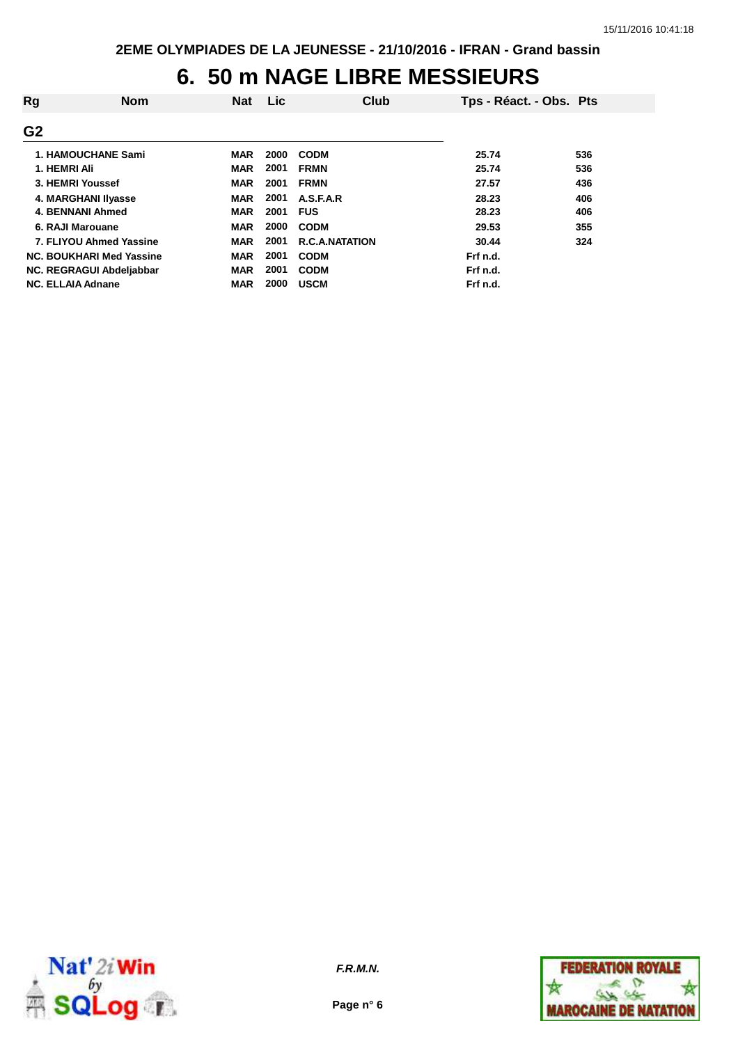#### **6. 50 m NAGE LIBRE MESSIEURS**

| Rg             | <b>Nom</b>                | <b>Nat</b> | Lic  | Club                  | Tps - Réact. - Obs. Pts |     |
|----------------|---------------------------|------------|------|-----------------------|-------------------------|-----|
| G <sub>2</sub> |                           |            |      |                       |                         |     |
|                | <b>1. HAMOUCHANE Sami</b> | <b>MAR</b> | 2000 | <b>CODM</b>           | 25.74                   | 536 |
| 1. HEMRI Ali   |                           | <b>MAR</b> | 2001 | <b>FRMN</b>           | 25.74                   | 536 |
|                | 3. HEMRI Youssef          | <b>MAR</b> | 2001 | <b>FRMN</b>           | 27.57                   | 436 |
|                | 4. MARGHANI IIyasse       | <b>MAR</b> | 2001 | A.S.F.A.R             | 28.23                   | 406 |
|                | 4. BENNANI Ahmed          | <b>MAR</b> | 2001 | <b>FUS</b>            | 28.23                   | 406 |
|                | 6. RAJI Marouane          | <b>MAR</b> | 2000 | <b>CODM</b>           | 29.53                   | 355 |
|                | 7. FLIYOU Ahmed Yassine   | <b>MAR</b> | 2001 | <b>R.C.A.NATATION</b> | 30.44                   | 324 |
|                | NC. BOUKHARI Med Yassine  | <b>MAR</b> | 2001 | <b>CODM</b>           | Frf n.d.                |     |
|                | NC. REGRAGUI Abdeljabbar  | <b>MAR</b> | 2001 | <b>CODM</b>           | Frf n.d.                |     |
|                | <b>NC. ELLAIA Adnane</b>  | <b>MAR</b> | 2000 | <b>USCM</b>           | Frf n.d.                |     |



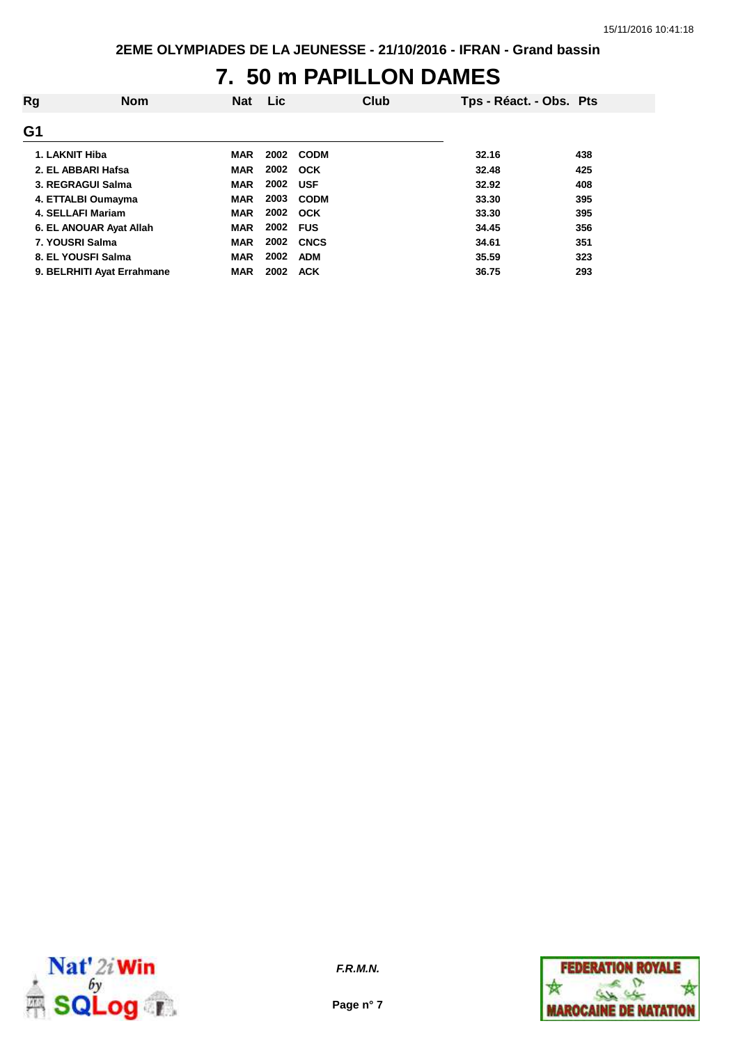## **7. 50 m PAPILLON DAMES**

| Rg | <b>Nom</b>                 | <b>Nat</b> | <b>Lic</b> |             | Club | Tps - Réact. - Obs. Pts |     |
|----|----------------------------|------------|------------|-------------|------|-------------------------|-----|
| G1 |                            |            |            |             |      |                         |     |
|    | 1. LAKNIT Hiba             | <b>MAR</b> |            | 2002 CODM   |      | 32.16                   | 438 |
|    | 2. EL ABBARI Hafsa         | <b>MAR</b> |            | 2002 OCK    |      | 32.48                   | 425 |
|    | 3. REGRAGUI Salma          | <b>MAR</b> | 2002       | <b>USF</b>  |      | 32.92                   | 408 |
|    | 4. ETTALBI Oumayma         | <b>MAR</b> | 2003       | <b>CODM</b> |      | 33.30                   | 395 |
|    | 4. SELLAFI Mariam          | <b>MAR</b> | 2002       | <b>OCK</b>  |      | 33.30                   | 395 |
|    | 6. EL ANOUAR Ayat Allah    | <b>MAR</b> | 2002 FUS   |             |      | 34.45                   | 356 |
|    | 7. YOUSRI Salma            | <b>MAR</b> | 2002       | <b>CNCS</b> |      | 34.61                   | 351 |
|    | 8. EL YOUSFI Salma         | <b>MAR</b> | 2002       | <b>ADM</b>  |      | 35.59                   | 323 |
|    | 9. BELRHITI Ayat Errahmane | <b>MAR</b> | 2002       | <b>ACK</b>  |      | 36.75                   | 293 |